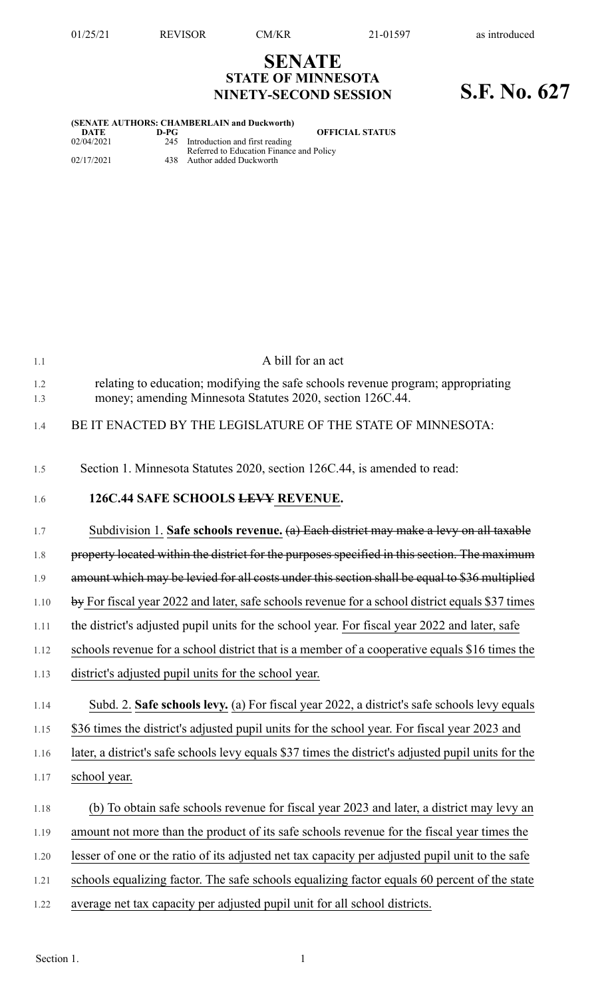## **SENATE STATE OF MINNESOTA NINETY-SECOND SESSION S.F. No. 627**

|      | (SENATE AUTHORS: CHAMBERLAIN and Duckworth)                                    |
|------|--------------------------------------------------------------------------------|
| D-PG | <b>OFFICIAL STATUS</b>                                                         |
|      | 245 Introduction and first reading<br>Referred to Education Finance and Policy |
|      | 438 Author added Duckworth                                                     |
|      |                                                                                |

| 1.1        | A bill for an act                                                                                                                             |
|------------|-----------------------------------------------------------------------------------------------------------------------------------------------|
| 1.2<br>1.3 | relating to education; modifying the safe schools revenue program; appropriating<br>money; amending Minnesota Statutes 2020, section 126C.44. |
| 1.4        | BE IT ENACTED BY THE LEGISLATURE OF THE STATE OF MINNESOTA:                                                                                   |
| 1.5        | Section 1. Minnesota Statutes 2020, section 126C.44, is amended to read:                                                                      |
| 1.6        | 126C.44 SAFE SCHOOLS LEVY REVENUE.                                                                                                            |
| 1.7        | Subdivision 1. Safe schools revenue. (a) Each district may make a levy on all taxable                                                         |
| 1.8        | property located within the district for the purposes specified in this section. The maximum                                                  |
| 1.9        | amount which may be levied for all costs under this section shall be equal to \$36 multiplied                                                 |
| 1.10       | $\frac{1}{2}$ by For fiscal year 2022 and later, safe schools revenue for a school district equals \$37 times                                 |
| 1.11       | the district's adjusted pupil units for the school year. For fiscal year 2022 and later, safe                                                 |
| 1.12       | schools revenue for a school district that is a member of a cooperative equals \$16 times the                                                 |
| 1.13       | district's adjusted pupil units for the school year.                                                                                          |
| 1.14       | Subd. 2. Safe schools levy. (a) For fiscal year 2022, a district's safe schools levy equals                                                   |
| 1.15       | \$36 times the district's adjusted pupil units for the school year. For fiscal year 2023 and                                                  |
| 1.16       | later, a district's safe schools levy equals \$37 times the district's adjusted pupil units for the                                           |
| 1.17       | school year.                                                                                                                                  |
| 1.18       | (b) To obtain safe schools revenue for fiscal year 2023 and later, a district may levy an                                                     |
| 1.19       | amount not more than the product of its safe schools revenue for the fiscal year times the                                                    |
| 1.20       | lesser of one or the ratio of its adjusted net tax capacity per adjusted pupil unit to the safe                                               |
| 1.21       | schools equalizing factor. The safe schools equalizing factor equals 60 percent of the state                                                  |
| 1.22       | average net tax capacity per adjusted pupil unit for all school districts.                                                                    |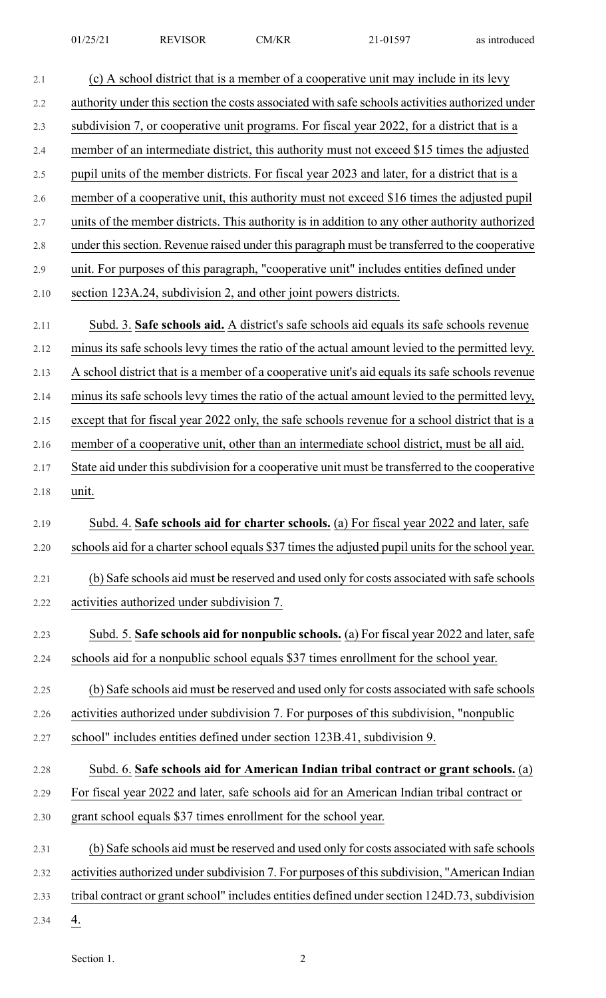| 2.1  | (c) A school district that is a member of a cooperative unit may include in its levy             |
|------|--------------------------------------------------------------------------------------------------|
| 2.2  | authority under this section the costs associated with safe schools activities authorized under  |
| 2.3  | subdivision 7, or cooperative unit programs. For fiscal year 2022, for a district that is a      |
| 2.4  | member of an intermediate district, this authority must not exceed \$15 times the adjusted       |
| 2.5  | pupil units of the member districts. For fiscal year 2023 and later, for a district that is a    |
| 2.6  | member of a cooperative unit, this authority must not exceed \$16 times the adjusted pupil       |
| 2.7  | units of the member districts. This authority is in addition to any other authority authorized   |
| 2.8  | under this section. Revenue raised under this paragraph must be transferred to the cooperative   |
| 2.9  | unit. For purposes of this paragraph, "cooperative unit" includes entities defined under         |
| 2.10 | section 123A.24, subdivision 2, and other joint powers districts.                                |
| 2.11 | Subd. 3. Safe schools aid. A district's safe schools aid equals its safe schools revenue         |
| 2.12 | minus its safe schools levy times the ratio of the actual amount levied to the permitted levy.   |
| 2.13 | A school district that is a member of a cooperative unit's aid equals its safe schools revenue   |
| 2.14 | minus its safe schools levy times the ratio of the actual amount levied to the permitted levy,   |
| 2.15 | except that for fiscal year 2022 only, the safe schools revenue for a school district that is a  |
| 2.16 | member of a cooperative unit, other than an intermediate school district, must be all aid.       |
| 2.17 | State aid under this subdivision for a cooperative unit must be transferred to the cooperative   |
| 2.18 | unit.                                                                                            |
| 2.19 | Subd. 4. Safe schools aid for charter schools. (a) For fiscal year 2022 and later, safe          |
| 2.20 | schools aid for a charter school equals \$37 times the adjusted pupil units for the school year. |
| 2.21 | (b) Safe schools aid must be reserved and used only for costs associated with safe schools       |
| 2.22 | activities authorized under subdivision 7.                                                       |
| 2.23 | Subd. 5. Safe schools aid for nonpublic schools. (a) For fiscal year 2022 and later, safe        |
| 2.24 | schools aid for a nonpublic school equals \$37 times enrollment for the school year.             |
| 2.25 | (b) Safe schools aid must be reserved and used only for costs associated with safe schools       |
| 2.26 | activities authorized under subdivision 7. For purposes of this subdivision, "nonpublic          |
| 2.27 | school" includes entities defined under section 123B.41, subdivision 9.                          |
| 2.28 | Subd. 6. Safe schools aid for American Indian tribal contract or grant schools. (a)              |
| 2.29 | For fiscal year 2022 and later, safe schools aid for an American Indian tribal contract or       |
| 2.30 | grant school equals \$37 times enrollment for the school year.                                   |
| 2.31 | (b) Safe schools aid must be reserved and used only for costs associated with safe schools       |
| 2.32 | activities authorized under subdivision 7. For purposes of this subdivision, "American Indian    |
| 2.33 | tribal contract or grant school" includes entities defined under section 124D.73, subdivision    |
| 2.34 | 4.                                                                                               |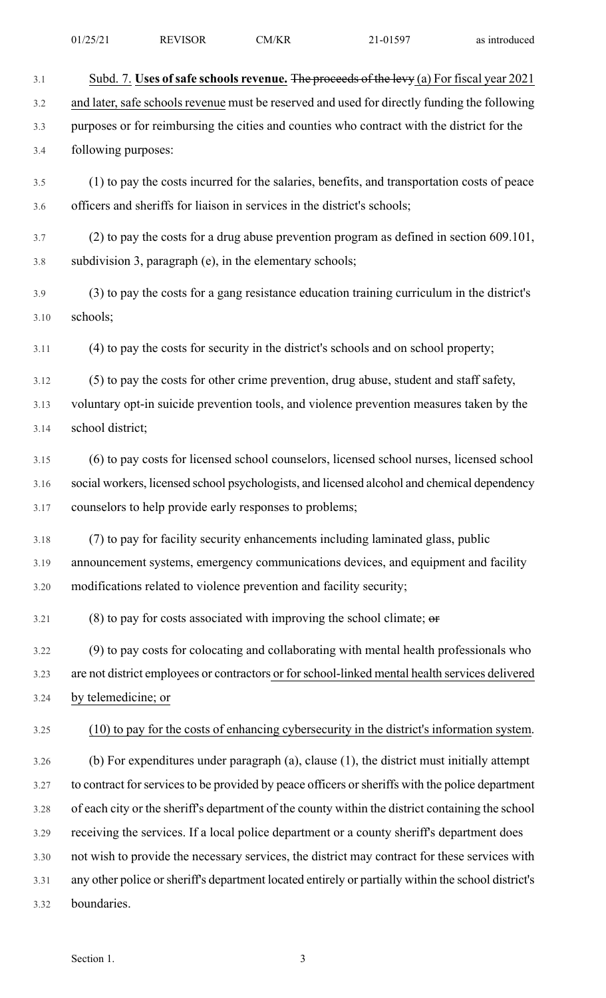|  | 01/25/21 | <b>REVISOR</b> | CM/KR | $21 - 01597$ | as introduced |
|--|----------|----------------|-------|--------------|---------------|
|--|----------|----------------|-------|--------------|---------------|

|  | as introduced |  |
|--|---------------|--|
|  |               |  |

| 3.1  | Subd. 7. Uses of safe schools revenue. The proceeds of the levy (a) For fiscal year 2021            |
|------|-----------------------------------------------------------------------------------------------------|
| 3.2  | and later, safe schools revenue must be reserved and used for directly funding the following        |
| 3.3  | purposes or for reimbursing the cities and counties who contract with the district for the          |
| 3.4  | following purposes:                                                                                 |
| 3.5  | (1) to pay the costs incurred for the salaries, benefits, and transportation costs of peace         |
| 3.6  | officers and sheriffs for liaison in services in the district's schools;                            |
| 3.7  | $(2)$ to pay the costs for a drug abuse prevention program as defined in section 609.101,           |
| 3.8  | subdivision 3, paragraph (e), in the elementary schools;                                            |
| 3.9  | (3) to pay the costs for a gang resistance education training curriculum in the district's          |
| 3.10 | schools;                                                                                            |
| 3.11 | (4) to pay the costs for security in the district's schools and on school property;                 |
| 3.12 | (5) to pay the costs for other crime prevention, drug abuse, student and staff safety,              |
| 3.13 | voluntary opt-in suicide prevention tools, and violence prevention measures taken by the            |
| 3.14 | school district;                                                                                    |
| 3.15 | (6) to pay costs for licensed school counselors, licensed school nurses, licensed school            |
| 3.16 | social workers, licensed school psychologists, and licensed alcohol and chemical dependency         |
| 3.17 | counselors to help provide early responses to problems;                                             |
| 3.18 | (7) to pay for facility security enhancements including laminated glass, public                     |
| 3.19 | announcement systems, emergency communications devices, and equipment and facility                  |
| 3.20 | modifications related to violence prevention and facility security;                                 |
| 3.21 | $(8)$ to pay for costs associated with improving the school climate; $\theta$                       |
| 3.22 | (9) to pay costs for colocating and collaborating with mental health professionals who              |
| 3.23 | are not district employees or contractors or for school-linked mental health services delivered     |
| 3.24 | by telemedicine; or                                                                                 |
| 3.25 | (10) to pay for the costs of enhancing cybersecurity in the district's information system.          |
| 3.26 | (b) For expenditures under paragraph (a), clause $(1)$ , the district must initially attempt        |
| 3.27 | to contract for services to be provided by peace officers or sheriffs with the police department    |
| 3.28 | of each city or the sheriff's department of the county within the district containing the school    |
| 3.29 | receiving the services. If a local police department or a county sheriff's department does          |
| 3.30 | not wish to provide the necessary services, the district may contract for these services with       |
| 3.31 | any other police or sheriff's department located entirely or partially within the school district's |
| 3.32 | boundaries.                                                                                         |
|      |                                                                                                     |